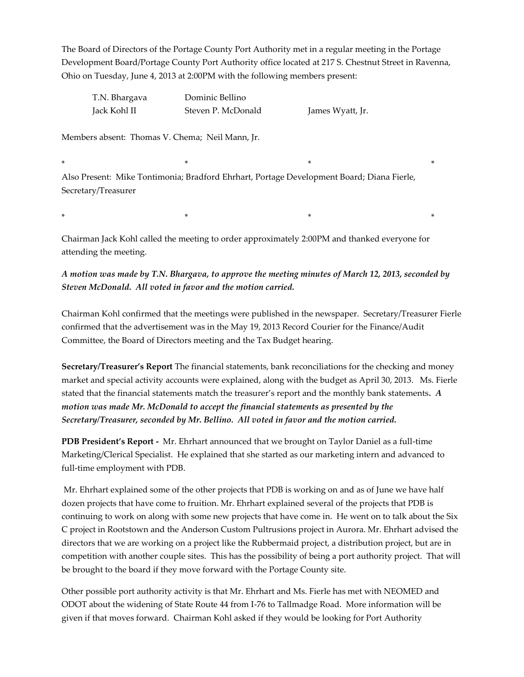The Board of Directors of the Portage County Port Authority met in a regular meeting in the Portage Development Board/Portage County Port Authority office located at 217 S. Chestnut Street in Ravenna, Ohio on Tuesday, June 4, 2013 at 2:00PM with the following members present:

T.N. Bhargava Dominic Bellino Jack Kohl II Steven P. McDonald James Wyatt, Jr.

Members absent: Thomas V. Chema; Neil Mann, Jr.

\* \* \* \* Also Present: Mike Tontimonia; Bradford Ehrhart, Portage Development Board; Diana Fierle, Secretary/Treasurer

\* \* \* \*

Chairman Jack Kohl called the meeting to order approximately 2:00PM and thanked everyone for attending the meeting.

*A motion was made by T.N. Bhargava, to approve the meeting minutes of March 12, 2013, seconded by Steven McDonald. All voted in favor and the motion carried.*

Chairman Kohl confirmed that the meetings were published in the newspaper. Secretary/Treasurer Fierle confirmed that the advertisement was in the May 19, 2013 Record Courier for the Finance/Audit Committee, the Board of Directors meeting and the Tax Budget hearing.

**Secretary/Treasurer's Report** The financial statements, bank reconciliations for the checking and money market and special activity accounts were explained, along with the budget as April 30, 2013. Ms. Fierle stated that the financial statements match the treasurer's report and the monthly bank statements*. A motion was made Mr. McDonald to accept the financial statements as presented by the Secretary/Treasurer, seconded by Mr. Bellino. All voted in favor and the motion carried.*

**PDB President's Report -** Mr. Ehrhart announced that we brought on Taylor Daniel as a full-time Marketing/Clerical Specialist. He explained that she started as our marketing intern and advanced to full-time employment with PDB.

Mr. Ehrhart explained some of the other projects that PDB is working on and as of June we have half dozen projects that have come to fruition. Mr. Ehrhart explained several of the projects that PDB is continuing to work on along with some new projects that have come in. He went on to talk about the Six C project in Rootstown and the Anderson Custom Pultrusions project in Aurora. Mr. Ehrhart advised the directors that we are working on a project like the Rubbermaid project, a distribution project, but are in competition with another couple sites. This has the possibility of being a port authority project. That will be brought to the board if they move forward with the Portage County site.

Other possible port authority activity is that Mr. Ehrhart and Ms. Fierle has met with NEOMED and ODOT about the widening of State Route 44 from I-76 to Tallmadge Road. More information will be given if that moves forward. Chairman Kohl asked if they would be looking for Port Authority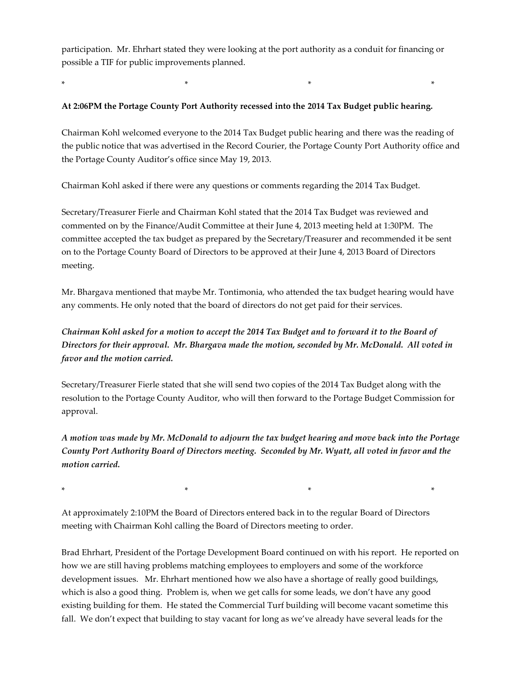participation. Mr. Ehrhart stated they were looking at the port authority as a conduit for financing or possible a TIF for public improvements planned.

\* \* \* \*

## **At 2:06PM the Portage County Port Authority recessed into the 2014 Tax Budget public hearing.**

Chairman Kohl welcomed everyone to the 2014 Tax Budget public hearing and there was the reading of the public notice that was advertised in the Record Courier, the Portage County Port Authority office and the Portage County Auditor's office since May 19, 2013.

Chairman Kohl asked if there were any questions or comments regarding the 2014 Tax Budget.

Secretary/Treasurer Fierle and Chairman Kohl stated that the 2014 Tax Budget was reviewed and commented on by the Finance/Audit Committee at their June 4, 2013 meeting held at 1:30PM. The committee accepted the tax budget as prepared by the Secretary/Treasurer and recommended it be sent on to the Portage County Board of Directors to be approved at their June 4, 2013 Board of Directors meeting.

Mr. Bhargava mentioned that maybe Mr. Tontimonia, who attended the tax budget hearing would have any comments. He only noted that the board of directors do not get paid for their services.

*Chairman Kohl asked for a motion to accept the 2014 Tax Budget and to forward it to the Board of Directors for their approval. Mr. Bhargava made the motion, seconded by Mr. McDonald. All voted in favor and the motion carried.*

Secretary/Treasurer Fierle stated that she will send two copies of the 2014 Tax Budget along with the resolution to the Portage County Auditor, who will then forward to the Portage Budget Commission for approval.

*A motion was made by Mr. McDonald to adjourn the tax budget hearing and move back into the Portage County Port Authority Board of Directors meeting. Seconded by Mr. Wyatt, all voted in favor and the motion carried.*

At approximately 2:10PM the Board of Directors entered back in to the regular Board of Directors meeting with Chairman Kohl calling the Board of Directors meeting to order.

\* \* \* \*

Brad Ehrhart, President of the Portage Development Board continued on with his report. He reported on how we are still having problems matching employees to employers and some of the workforce development issues. Mr. Ehrhart mentioned how we also have a shortage of really good buildings, which is also a good thing. Problem is, when we get calls for some leads, we don't have any good existing building for them. He stated the Commercial Turf building will become vacant sometime this fall. We don't expect that building to stay vacant for long as we've already have several leads for the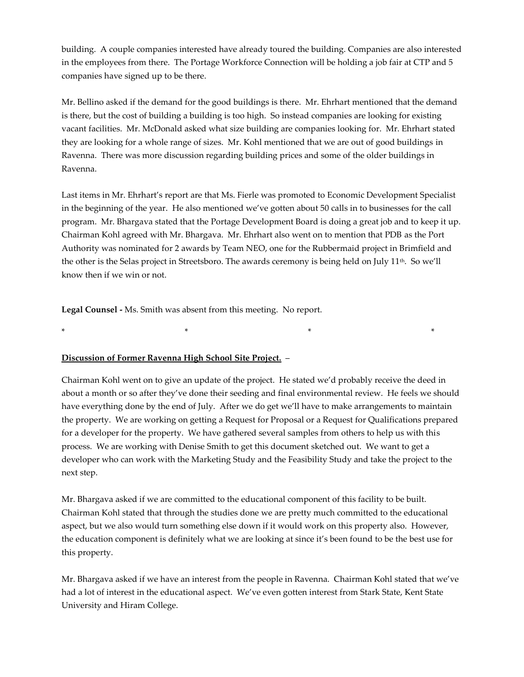building. A couple companies interested have already toured the building. Companies are also interested in the employees from there. The Portage Workforce Connection will be holding a job fair at CTP and 5 companies have signed up to be there.

Mr. Bellino asked if the demand for the good buildings is there. Mr. Ehrhart mentioned that the demand is there, but the cost of building a building is too high. So instead companies are looking for existing vacant facilities. Mr. McDonald asked what size building are companies looking for. Mr. Ehrhart stated they are looking for a whole range of sizes. Mr. Kohl mentioned that we are out of good buildings in Ravenna. There was more discussion regarding building prices and some of the older buildings in Ravenna.

Last items in Mr. Ehrhart's report are that Ms. Fierle was promoted to Economic Development Specialist in the beginning of the year. He also mentioned we've gotten about 50 calls in to businesses for the call program. Mr. Bhargava stated that the Portage Development Board is doing a great job and to keep it up. Chairman Kohl agreed with Mr. Bhargava. Mr. Ehrhart also went on to mention that PDB as the Port Authority was nominated for 2 awards by Team NEO, one for the Rubbermaid project in Brimfield and the other is the Selas project in Streetsboro. The awards ceremony is being held on July 11<sup>th</sup>. So we'll know then if we win or not.

**Legal Counsel -** Ms. Smith was absent from this meeting. No report.

\* \* \* \*

## **Discussion of Former Ravenna High School Site Project.** –

Chairman Kohl went on to give an update of the project. He stated we'd probably receive the deed in about a month or so after they've done their seeding and final environmental review. He feels we should have everything done by the end of July. After we do get we'll have to make arrangements to maintain the property. We are working on getting a Request for Proposal or a Request for Qualifications prepared for a developer for the property. We have gathered several samples from others to help us with this process. We are working with Denise Smith to get this document sketched out. We want to get a developer who can work with the Marketing Study and the Feasibility Study and take the project to the next step.

Mr. Bhargava asked if we are committed to the educational component of this facility to be built. Chairman Kohl stated that through the studies done we are pretty much committed to the educational aspect, but we also would turn something else down if it would work on this property also. However, the education component is definitely what we are looking at since it's been found to be the best use for this property.

Mr. Bhargava asked if we have an interest from the people in Ravenna. Chairman Kohl stated that we've had a lot of interest in the educational aspect. We've even gotten interest from Stark State, Kent State University and Hiram College.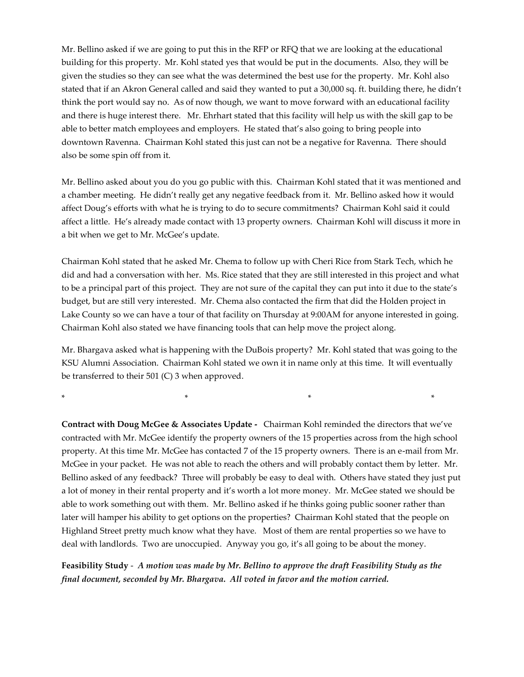Mr. Bellino asked if we are going to put this in the RFP or RFQ that we are looking at the educational building for this property. Mr. Kohl stated yes that would be put in the documents. Also, they will be given the studies so they can see what the was determined the best use for the property. Mr. Kohl also stated that if an Akron General called and said they wanted to put a 30,000 sq. ft. building there, he didn't think the port would say no. As of now though, we want to move forward with an educational facility and there is huge interest there. Mr. Ehrhart stated that this facility will help us with the skill gap to be able to better match employees and employers. He stated that's also going to bring people into downtown Ravenna. Chairman Kohl stated this just can not be a negative for Ravenna. There should also be some spin off from it.

Mr. Bellino asked about you do you go public with this. Chairman Kohl stated that it was mentioned and a chamber meeting. He didn't really get any negative feedback from it. Mr. Bellino asked how it would affect Doug's efforts with what he is trying to do to secure commitments? Chairman Kohl said it could affect a little. He's already made contact with 13 property owners. Chairman Kohl will discuss it more in a bit when we get to Mr. McGee's update.

Chairman Kohl stated that he asked Mr. Chema to follow up with Cheri Rice from Stark Tech, which he did and had a conversation with her. Ms. Rice stated that they are still interested in this project and what to be a principal part of this project. They are not sure of the capital they can put into it due to the state's budget, but are still very interested. Mr. Chema also contacted the firm that did the Holden project in Lake County so we can have a tour of that facility on Thursday at 9:00AM for anyone interested in going. Chairman Kohl also stated we have financing tools that can help move the project along.

Mr. Bhargava asked what is happening with the DuBois property? Mr. Kohl stated that was going to the KSU Alumni Association. Chairman Kohl stated we own it in name only at this time. It will eventually be transferred to their 501 (C) 3 when approved.

\* \* \* \*

**Contract with Doug McGee & Associates Update -** Chairman Kohl reminded the directors that we've contracted with Mr. McGee identify the property owners of the 15 properties across from the high school property. At this time Mr. McGee has contacted 7 of the 15 property owners. There is an e-mail from Mr. McGee in your packet. He was not able to reach the others and will probably contact them by letter. Mr. Bellino asked of any feedback? Three will probably be easy to deal with. Others have stated they just put a lot of money in their rental property and it's worth a lot more money. Mr. McGee stated we should be able to work something out with them. Mr. Bellino asked if he thinks going public sooner rather than later will hamper his ability to get options on the properties? Chairman Kohl stated that the people on Highland Street pretty much know what they have. Most of them are rental properties so we have to deal with landlords. Two are unoccupied. Anyway you go, it's all going to be about the money.

**Feasibility Study** - *A motion was made by Mr. Bellino to approve the draft Feasibility Study as the final document, seconded by Mr. Bhargava. All voted in favor and the motion carried.*